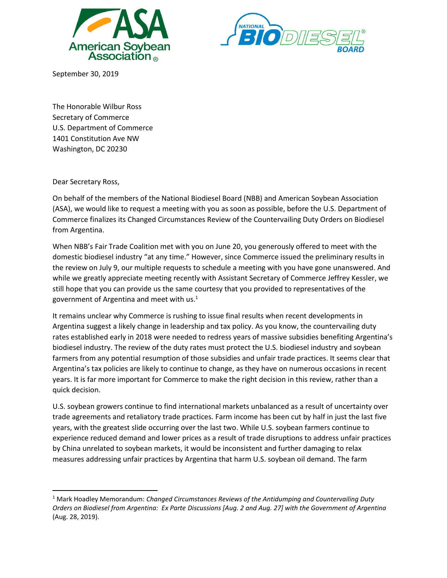



September 30, 2019

The Honorable Wilbur Ross Secretary of Commerce U.S. Department of Commerce 1401 Constitution Ave NW Washington, DC 20230

Dear Secretary Ross,

On behalf of the members of the National Biodiesel Board (NBB) and American Soybean Association (ASA), we would like to request a meeting with you as soon as possible, before the U.S. Department of Commerce finalizes its Changed Circumstances Review of the Countervailing Duty Orders on Biodiesel from Argentina.

When NBB's Fair Trade Coalition met with you on June 20, you generously offered to meet with the domestic biodiesel industry "at any time." However, since Commerce issued the preliminary results in the review on July 9, our multiple requests to schedule a meeting with you have gone unanswered. And while we greatly appreciate meeting recently with Assistant Secretary of Commerce Jeffrey Kessler, we still hope that you can provide us the same courtesy that you provided to representatives of the government of Argentina and meet with us.<sup>1</sup>

It remains unclear why Commerce is rushing to issue final results when recent developments in Argentina suggest a likely change in leadership and tax policy. As you know, the countervailing duty rates established early in 2018 were needed to redress years of massive subsidies benefiting Argentina's biodiesel industry. The review of the duty rates must protect the U.S. biodiesel industry and soybean farmers from any potential resumption of those subsidies and unfair trade practices. It seems clear that Argentina's tax policies are likely to continue to change, as they have on numerous occasions in recent years. It is far more important for Commerce to make the right decision in this review, rather than a quick decision.

U.S. soybean growers continue to find international markets unbalanced as a result of uncertainty over trade agreements and retaliatory trade practices. Farm income has been cut by half in just the last five years, with the greatest slide occurring over the last two. While U.S. soybean farmers continue to experience reduced demand and lower prices as a result of trade disruptions to address unfair practices by China unrelated to soybean markets, it would be inconsistent and further damaging to relax measures addressing unfair practices by Argentina that harm U.S. soybean oil demand. The farm

<sup>1</sup> Mark Hoadley Memorandum: *Changed Circumstances Reviews of the Antidumping and Countervailing Duty Orders on Biodiesel from Argentina: Ex Parte Discussions [Aug. 2 and Aug. 27] with the Government of Argentina* (Aug. 28, 2019).